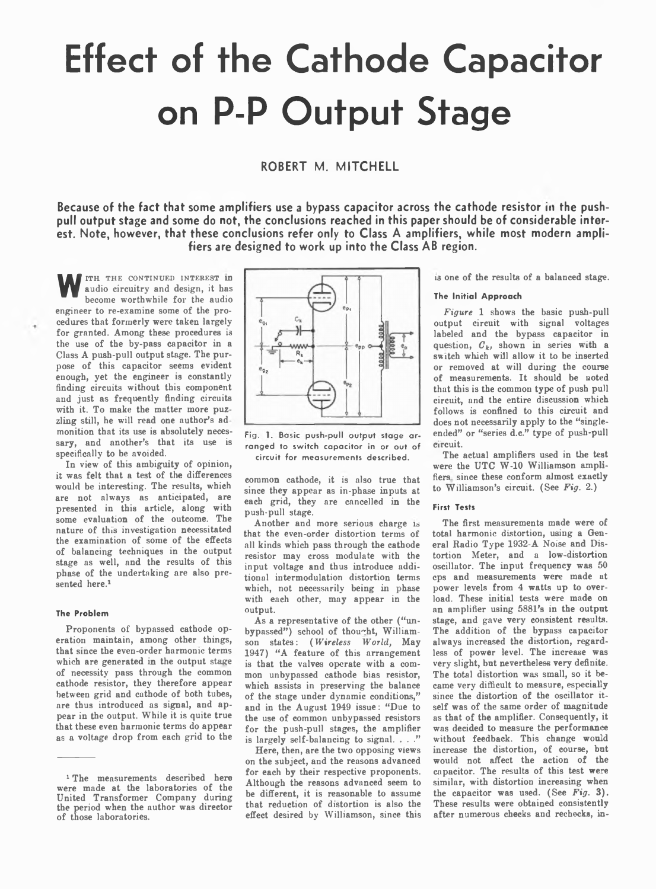# **Effect of the Cathode Capacitor on P-P Output Stage**

**ROBERT M. MITCHELL** 

Because of the fact that some amplifiers use a bypass capacitor across the cathode resistor in the push**pull output stage and some do not, the conclusions reached in this paper should be of considerable inter**est. Note, however, that these conclusions refer only to Class A amplifiers, while most modern ampli**fiers are designed to work up into the Class AB region.**

W ITH THE CONTINUED INTEREST In audio circuitry and design, it has become worthwhile for the audio audio circuitry and design, it has become worthwhile for the audio engineer to re-examine some of the procedures that formerly were taken largely for granted. Among these procedures is the use of the by-pass capacitor in a Class A push-pull output stage. The purpose of this capacitor seems evident enough, yet the engineer is constantly finding circuits without this component and just as frequently finding circuits with it. To make the matter more puzzling still, he will read one author's ad monition that its use is absolutely necessary, and another's that its use is specifically to be avoided.

In view of this ambiguity of opinion, it was felt that a test of the differences would be interesting. The results, which are not always as anticipated, are presented in this article, along with some evaluation of the outcome. The nature of this investigation necessitated the examination of some of the effects of balancing techniques in the output stage as well, and the results of this phase of the undertaking are also presented here.1

## **The Problem**

Proponents of bypassed cathode operation maintain, among other things, that since the even-order harmonic terms which are generated in the output stage of necessity pass through the common cathode resistor, they therefore appear between grid and cathode of both tubes, are thus introduced as signal, and appear in the output. While it is quite true that these even harmonic terms do appear as a voltage drop from each grid to the



Fig. 1. Basic push-pull output stage ar**ranged to switch capacitor in or out of circuit for measurements described.**

common cathode, it is also true that since they appear as in-phase inputs at each grid, they are cancelled in the push-pull stage.

Another and more serious charge is that the even-order distortion terms of all kinds which pass through the cathode resistor may cross modulate with the input voltage and thus introduce additional intermodulation distortion terms which, not necessarily being in phase with each other, may appear in the output.

As a representative of the other ("unbypassed") school of thought, Williamson states: *( Wireless World,* May 1947) "A feature of this arrangement is that the valves operate with a common unbypassed cathode bias resistor, which assists in preserving the balance of the stage under dynamic conditions," and in the August 1949 issue: "Due to the use of common unbypassed resistors for the push-pull stages, the amplifier is largely self-balancing to signal.  $\ldots$ ."

Here, then, are the two opposing views on the subject, and the reasons advanced for each by their respective proponents. Although the reasons advanced seem to be different, it is reasonable to assume that reduction of distortion is also the effect desired by Williamson, since this is one of the results of a balanced stage.

# **The Initial Approach**

*Figure* 1 shows the basic push-pull output circuit with signal voltages labeled and the bypass capacitor in question,  $C_k$ , shown in series with a switch which will allow it to be inserted or removed at will during the course of measurements. It should be noted that this is the common type of push pull circuit, and the entire discussion which follows is confined to this circuit and does not necessarily apply to the "singleended" or "series d.c." type of push-pull Circuit.

The actual amplifiers used in the test were the UTC W-10 Williamson amplifiers since these conform almost exactly to Williamson's circuit. (See *Fig.* 2.)

# **First Tests**

The first measurements made were of total harmonic distortion, using a General Radio Type 1932-A Noise and Distortion Meter, and a low distortion oscillator. The input frequency was 50 cps and measurements were made at power levels from 4 watts up to overload. These initial tests were made on an amplifier using 5881's in the output stage, and gave very consistent results. The addition of the bypass capacitor always increased the distortion, regardless of power level. The increase was very slight, but nevertheless very definite. The total distortion was small, so it became very difficult to measure, especially since the distortion of the oscillator itself was of the same order of magnitude as that of the amplifier. Consequently, it was decided to measure the performance without feedback. This change would increase the distortion, of course, but would not affect the action of the capacitor. The results of this test were similar, with distortion increasing when the capacitor was used. (See *Fig.* 3). These results were obtained consistently after numerous checks and rechecks, in-

<sup>&</sup>lt;sup>1</sup> The measurements described here were made at the laboratories of the United Transformer Company during the period when the author was director of those laboratories.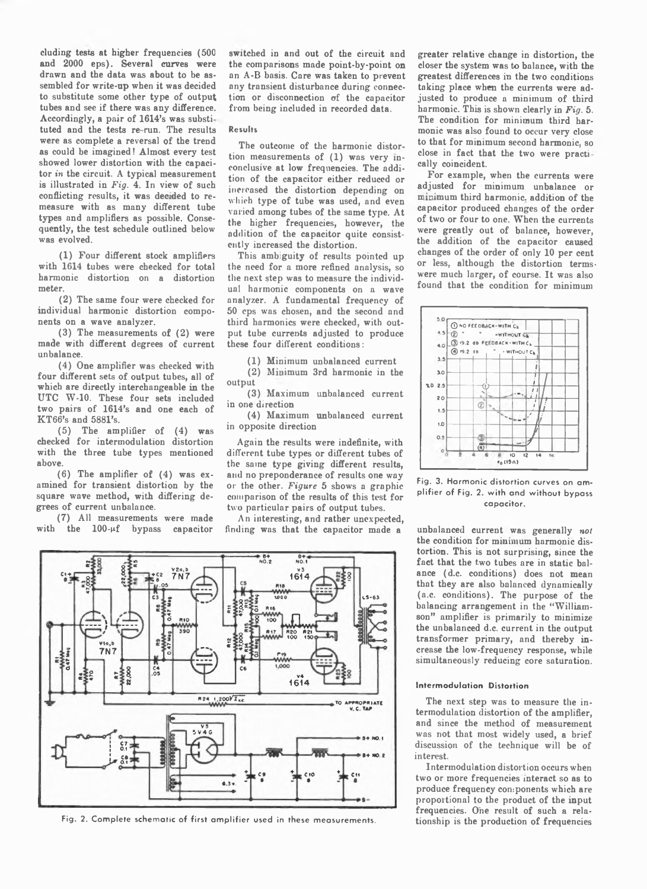cluding tests at higher frequencies (500 and 2000 eps). Several curves were drawn and the data was about to be assembled for write-up when it was decided to substitute some other type of output tubes and see if there was any difference. Accordingly, a pair of 1614's was substi tuted and the tests re-run. The results were as complete a reversal of the trend as could be imagined! Almost every test showed lower distortion with the capacitor *in* the circuit. A typical measurement is illustrated in *Fig.* 4. In view of such conflicting results, it was decided to remeasure with as many different tube types and amplifiers as possible. Consequently, the test schedule outlined below was evolved.

(1) Four different stock amplifiers with 1614 tubes were checked for total harmonic distortion on a distortion meter.

(2) The same four were checked for individual harmonic distortion components on a wave analyzer.

(3) The measurements of (2) were made with different degrees of current unbalance.

(4) One amplifier was checked with four different sets of output tubes, all of which are directly interchangeable in the UTC W-10. These four sets included two pairs of 1614's and one each of KT66's and 5881's.

 $(5)$  The amplifier of  $(4)$  was checked for intermodulation distortion with the three tube types mentioned above.

(6) The amplifier of (4) was examined for transient distortion by the square wave method, with differing degrees of current unbalance.

(7) All measurements were made with the  $100 - \mu f$  bypass capacitor switched in and out of the circuit and the comparisons made point-by-point on an A-B basis. Care was taken to prevent any transient disturbance during connection or disconnection of the capacitor from being included in recorded data.

# **Results**

The outcome of the harmonic distortion measurements of (1) was very inconclusive at low frequencies. The addition of the capacitor either reduced or increased the distortion depending on which type of tube was used, and even varied among tubes of the same type. At the higher frequencies, however, the addition of the capacitor quite consistently increased the distortion.

This ambiguity of results pointed up the need for a more refined analysis, so the next step was to measure the individual harmonic components on a wave analyzer. A fundamental frequency of 50 cps was chosen, and the second and third harmonics were checked, with output tube currents adjusted to produce these four different conditions:

(1) Minimum unbalanced current

(2) Minimum 3rd harmonic in the output

(3) Maximum unbalanced current in one airection

(4) Maximum unbalanced current in opposite direction

Again the results were indefinite, with different tube types or different tubes of the same type giving different results, and no preponderance of results one way or the other. *Figure* 5 shows a graphic comparison of the results of this test for two particular pairs of output tubes.

An interesting, and rather unexpected, finding was that the capacitor made a



Fig. 2. Complete schematic of first amplifier used in these measurements.

greater relative change in distortion, the closer the system was to balance, with the greatest differences in the two conditions taking place when the currents were adjusted to produce a minimum of third harmonic. This is shown clearly in *Fig.* 5. The condition for minimum third harmonic was also found to occur very close to that for minimum second harmonic, so close in fact that the two were practi cally coincident.

For example, when the currents were adjusted for minimum unbalance or minimum third harmonic, addition of the capacitor produced changes of the order of two or four to one. When the currents were greatly out of balance, however, the addition of the capacitor caused changes of the order of only 10 per cent or less, although the distortion termswere much larger, of course. It was also found that the condition for minimum



**Fig. 3. Harmonic distortion curves on am plifier of Fig. 2. with and without bypass capacitor.**

unbalanced current was generally *not* the condition for minimum harmonic distortion. This is not surprising, since the fact that the two tubes are in static balance (d.c. conditions) does not mean that they are also balanced dynamically (a.c. conditions). The purpose of the balancing arrangement in the "Williamson" amplifier is primarily to minimize the unbalanced d.c. current in the output transformer primary, and thereby increase the low-frequency response, while simultaneously reducing core saturation.

### **Intermodulation Distortion**

The next step was to measure the intermodulation distortion of the amplifier, and since the method of measurement was not that most widely used, a brief discussion of the technique will be of interest.

Intermodulation distortion occurs when two or more frequencies interact so as to produce frequency components which are proportional to the product of the input frequencies. One result of such a relationship is the production of frequencies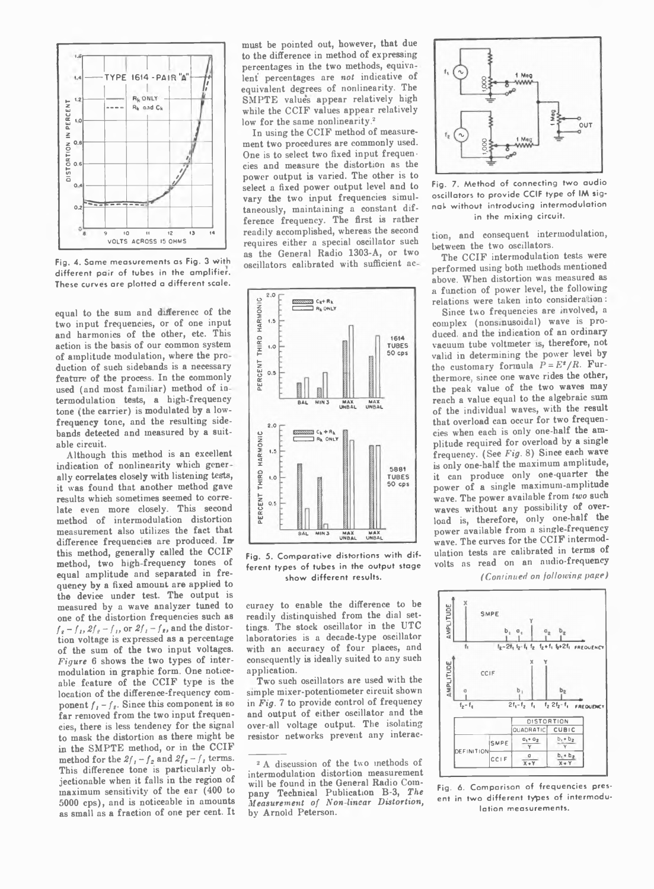

Fig. 4. Same measurements as Fig. 3 with different pair of tubes in the amplifier. **These curves are plotted a different scale.**

equal to the sum and difference of the two input frequencies, or of one input and harmonics of the other, etc. This action is the basis of our common system of amplitude modulation, where the pro duction of such sidebands is a necessary feature of the process. In the commonly used (and most familiar) method of ia termodulation tests, a high-frequency tone (the carrier) is modulated by a lowfrequency tone, and the resulting sidebands detected and measured by a suitable circuit.

Although this method is an excellent indication of nonlinearity which gener ally correlates closely with listening tests, it was found that another method gave results which sometimes seemed to correlate even more closely. This second method of intermodulation distortion measurement also utilizes the fact that difference frequencies are produced. In this method, generally called the CCIF method, two high-frequency tones of equal amplitude and separated in frequency by a fixed amount are applied to the device under test. The output is measured by a wave analyzer tuned to one of the distortion frequencies such as  $f_e - f_i$ ,  $2f_e - f_i$ , or  $2f_i - f_i$ , and the distortion voltage is expressed as a percentage of the sum of the two input voltages. *Figure* 6 shows the two types of intermodulation in graphic form. One noticeable feature of the CCIF type is the location of the difference-frequency component  $f_i - f_{\ell}$ . Since this component is so far removed from the two input frequencies, there is less tendency for the signal to mask the distortion as there might be in the SMPTE method, or in the CCIF method for the  $2f_1 - f_2$  and  $2f_2 - f_1$  terms. This difference tone is particularly objectionable when it falls in the region of maximum sensitivity of the ear (400 to 5000 cps), and is noticeable in amounts as small as a fraction of one per cent. It

must be pointed out, however, that due to the difference in method of expressing percentages in the two methods, equiva lent percentages are *not* indicative of equivalent degrees of nonlinearity. The SMPTE values appear relatively high while the CCIF values appear relatively low for the same nonlinearity.<sup>2</sup>

In using the CCIF method of measurement two procedures are commonly used. One is to select two fixed input frequencies and measure the distortion as the power output is varied. The other is to select a fixed power output level and to vary the two input frequencies simultaneously, maintaining a constant difference frequency. The first is rather readily accomplished, whereas the second requires either a special oscillator such as the General Radio 1303-A, or two oscillators calibrated with sufficient ac



Fig. 5. Comparative distortions with dif**ferent types of tubes in the output stage show different results.**

curacy to enable the difference to be readily distinquished from the dial settings. The stock oscillator in the UTC laboratories is a decade-type oscillator with an accuracy of four places, and consequently is ideally suited to any such application.

Two such oscillators are used with the simple mixer-potentiometer circuit shown in *Fig. 7* to provide control of frequency and output of either oscillator and the over-all voltage output. The isolating resistor networks prevent any interac-



**Fig. 7. Method of connecting two audio oscillators to provide CCIF type of IM signal- without introducing intermodulation in the mixing circuit.**

tion, and consequent intermodulation, between the two oscillators.

The CCIF intermodulation tests were performed using both methods mentioned above. When distortion was measured as a function of power level, the following relations were taken into consideration:

Since two frequencies are involved, a complex (nonsinusoidal) wave is produced. and the indication of an ordinary vacuum tube voltmeter is, therefore, not valid in determining the power level by the customary formula  $P = E^z / R$ . Furthermore, since one wave rides the other, the peak value of the two waves may reach a value equal to the algebraic sum of the individual waves, with the result that overload can occur for two frequencies when each is only one-half the amplitude required for overload by a single frequency. (See *Fig.* 8) Since each wave is only one-half the maximum amplitude, it can produce only one-quarter the power of a single maximum-amplitude wave. The power available from *two* such waves without any possibility of overload is, therefore, only one-half the power available from a single-frequency wave. The curves for the CCIF intermodulation tests are calibrated in terms of volts as read on an audio-frequency

*(Continued on following page)*



Fig. 6. Comparison of frequencies pres**ent in two different types of intermodulation measurements.**

<sup>&</sup>lt;sup>2</sup> A discussion of the two methods of intermodulation distortion measurement will be found in the General Radio Company Technical Publication B-3, *The Measurement of Non linear Distortion,* by Arnold Peterson.